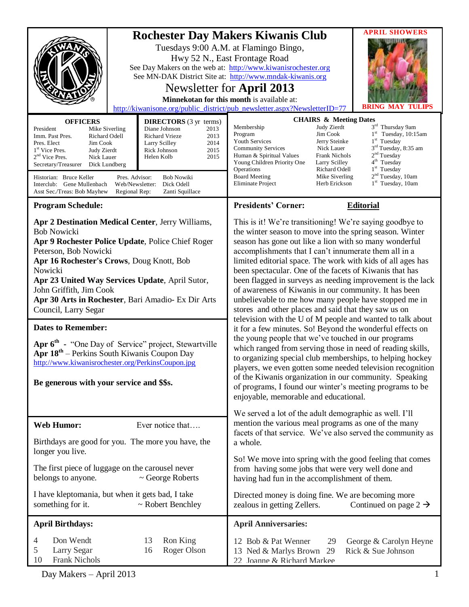| http://kiwanisone.org/public_district/pub_newsletter.aspx?NewsletterID=77<br><b>OFFICERS</b><br><b>DIRECTORS</b> (3 yr terms)<br>President<br>Diane Johnson<br>2013<br>Mike Siverling<br>2013<br>Imm. Past Pres.<br>Richard Odell<br>Richard Vrieze<br>2014<br>Jim Cook<br>Pres. Elect<br>Larry Scilley                                                                   |                                            | <b>Rochester Day Makers Kiwanis Club</b><br>Tuesdays 9:00 A.M. at Flamingo Bingo,<br>Hwy 52 N., East Frontage Road<br>See Day Makers on the web at: http://www.kiwanisrochester.org<br>See MN-DAK District Site at: http://www.mndak-kiwanis.org<br>Newsletter for April 2013<br>Minnekotan for this month is available at:<br><b>CHAIRS &amp; Meeting Dates</b><br>Membership<br>Judy Zierdt<br>Jim Cook<br>Program<br><b>Youth Services</b><br>Jerry Steinke                                                                                                                                                                                                                                                                                                                                                                                                                                                                                                                                                                                                                                                                                      | <b>APRIL SHOWERS</b><br>3rd Thursday 9am<br>$1st$ Tuesday, 10:15am<br>$1st$ Tuesday                     |  |
|---------------------------------------------------------------------------------------------------------------------------------------------------------------------------------------------------------------------------------------------------------------------------------------------------------------------------------------------------------------------------|--------------------------------------------|-----------------------------------------------------------------------------------------------------------------------------------------------------------------------------------------------------------------------------------------------------------------------------------------------------------------------------------------------------------------------------------------------------------------------------------------------------------------------------------------------------------------------------------------------------------------------------------------------------------------------------------------------------------------------------------------------------------------------------------------------------------------------------------------------------------------------------------------------------------------------------------------------------------------------------------------------------------------------------------------------------------------------------------------------------------------------------------------------------------------------------------------------------|---------------------------------------------------------------------------------------------------------|--|
| 1 <sup>st</sup> Vice Pres.<br>Judy Zierdt<br>$2nd$ Vice Pres.<br>Nick Lauer<br>Secretary/Treasurer<br>Dick Lundberg                                                                                                                                                                                                                                                       | 2015<br>Rick Johnson<br>2015<br>Helen Kolb | <b>Community Services</b><br>Nick Lauer<br>Human & Spiritual Values<br>Frank Nichols<br>Young Children Priority One<br>Larry Scilley<br>Operations<br>Richard Odell                                                                                                                                                                                                                                                                                                                                                                                                                                                                                                                                                                                                                                                                                                                                                                                                                                                                                                                                                                                 | 3 <sup>rd</sup> Tuesday, 8:35 am<br>2 <sup>nd</sup> Tuesday<br>4 <sup>th</sup> Tuesday<br>$1st$ Tuesday |  |
| Historian: Bruce Keller<br>Pres. Advisor:<br><b>Bob Nowiki</b><br>Dick Odell<br>Interclub: Gene Mullenbach<br>Web/Newsletter:<br>Asst Sec./Treas: Bob Mayhew<br>Regional Rep:<br>Zanti Squillace                                                                                                                                                                          |                                            | <b>Board Meeting</b><br>Eliminate Project<br>Herb Erickson                                                                                                                                                                                                                                                                                                                                                                                                                                                                                                                                                                                                                                                                                                                                                                                                                                                                                                                                                                                                                                                                                          | 2 <sup>nd</sup> Tuesday, 10am<br>Mike Siverling<br>$1st$ Tuesday, 10am                                  |  |
| <b>Program Schedule:</b>                                                                                                                                                                                                                                                                                                                                                  |                                            | <b>Presidents' Corner:</b>                                                                                                                                                                                                                                                                                                                                                                                                                                                                                                                                                                                                                                                                                                                                                                                                                                                                                                                                                                                                                                                                                                                          | <b>Editorial</b>                                                                                        |  |
| Apr 2 Destination Medical Center, Jerry Williams,<br><b>Bob Nowicki</b><br>Apr 9 Rochester Police Update, Police Chief Roger<br>Peterson, Bob Nowicki<br>Apr 16 Rochester's Crows, Doug Knott, Bob<br>Nowicki<br>Apr 23 United Way Services Update, April Sutor,<br>John Griffith, Jim Cook<br>Apr 30 Arts in Rochester, Bari Amadio- Ex Dir Arts<br>Council, Larry Segar |                                            | This is it! We're transitioning! We're saying goodbye to<br>the winter season to move into the spring season. Winter<br>season has gone out like a lion with so many wonderful<br>accomplishments that I can't innumerate them all in a<br>limited editorial space. The work with kids of all ages has<br>been spectacular. One of the facets of Kiwanis that has<br>been flagged in surveys as needing improvement is the lack<br>of awareness of Kiwanis in our community. It has been<br>unbelievable to me how many people have stopped me in<br>stores and other places and said that they saw us on<br>television with the U of M people and wanted to talk about<br>it for a few minutes. So! Beyond the wonderful effects on<br>the young people that we've touched in our programs<br>which ranged from serving those in need of reading skills,<br>to organizing special club memberships, to helping hockey<br>players, we even gotten some needed television recognition<br>of the Kiwanis organization in our community. Speaking<br>of programs, I found our winter's meeting programs to be<br>enjoyable, memorable and educational. |                                                                                                         |  |
| <b>Dates to Remember:</b><br>Apr 6 <sup>th</sup> - "One Day of Service" project, Stewartville<br>Apr 18 <sup>th</sup> – Perkins South Kiwanis Coupon Day<br>http://www.kiwanisrochester.org/PerkinsCoupon.jpg<br>Be generous with your service and \$\$s.                                                                                                                 |                                            |                                                                                                                                                                                                                                                                                                                                                                                                                                                                                                                                                                                                                                                                                                                                                                                                                                                                                                                                                                                                                                                                                                                                                     |                                                                                                         |  |
| <b>Web Humor:</b>                                                                                                                                                                                                                                                                                                                                                         | Ever notice that                           | We served a lot of the adult demographic as well. I'll<br>mention the various meal programs as one of the many                                                                                                                                                                                                                                                                                                                                                                                                                                                                                                                                                                                                                                                                                                                                                                                                                                                                                                                                                                                                                                      |                                                                                                         |  |
| Birthdays are good for you. The more you have, the<br>longer you live.                                                                                                                                                                                                                                                                                                    |                                            | facets of that service. We've also served the community as<br>a whole.                                                                                                                                                                                                                                                                                                                                                                                                                                                                                                                                                                                                                                                                                                                                                                                                                                                                                                                                                                                                                                                                              |                                                                                                         |  |
| The first piece of luggage on the carousel never<br>belongs to anyone.<br>$\sim$ George Roberts                                                                                                                                                                                                                                                                           |                                            | So! We move into spring with the good feeling that comes<br>from having some jobs that were very well done and<br>having had fun in the accomplishment of them.                                                                                                                                                                                                                                                                                                                                                                                                                                                                                                                                                                                                                                                                                                                                                                                                                                                                                                                                                                                     |                                                                                                         |  |
| I have kleptomania, but when it gets bad, I take<br>something for it.<br>$\sim$ Robert Benchley                                                                                                                                                                                                                                                                           |                                            | Directed money is doing fine. We are becoming more<br>zealous in getting Zellers.<br>Continued on page $2 \rightarrow$                                                                                                                                                                                                                                                                                                                                                                                                                                                                                                                                                                                                                                                                                                                                                                                                                                                                                                                                                                                                                              |                                                                                                         |  |
| <b>April Birthdays:</b>                                                                                                                                                                                                                                                                                                                                                   |                                            | <b>April Anniversaries:</b>                                                                                                                                                                                                                                                                                                                                                                                                                                                                                                                                                                                                                                                                                                                                                                                                                                                                                                                                                                                                                                                                                                                         |                                                                                                         |  |
| Don Wendt<br>Ron King<br>4<br>13<br>Roger Olson<br>Larry Segar<br>5<br>16<br><b>Frank Nichols</b><br>10                                                                                                                                                                                                                                                                   |                                            | 12 Bob & Pat Wenner<br>29<br>13 Ned & Marlys Brown 29<br>22 Joanne & Richard Markee                                                                                                                                                                                                                                                                                                                                                                                                                                                                                                                                                                                                                                                                                                                                                                                                                                                                                                                                                                                                                                                                 | George & Carolyn Heyne<br>Rick & Sue Johnson                                                            |  |

Day Makers – April 2013 1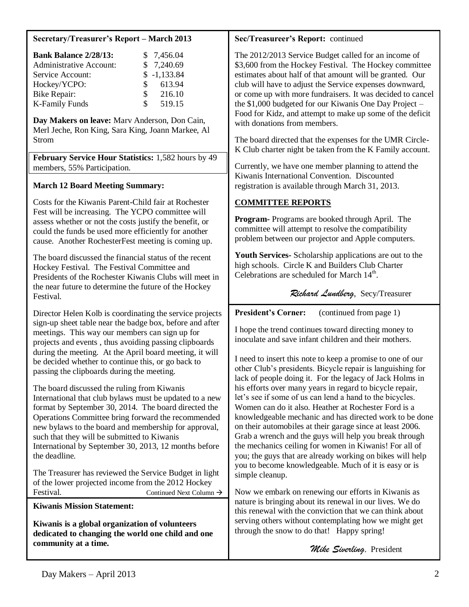#### **Secretary/Treasurer's Report – March 2013**

| <b>Bank Balance 2/28/13:</b>   |    | \$7,456.04    |
|--------------------------------|----|---------------|
| <b>Administrative Account:</b> |    | \$7,240.69    |
| Service Account:               |    | $$ -1,133.84$ |
| Hockey/YCPO:                   | S. | 613.94        |
| Bike Repair:                   | \$ | 216.10        |
| <b>K-Family Funds</b>          | S. | 519.15        |

**Day Makers on leave:** Marv Anderson, Don Cain, Merl Jeche, Ron King, Sara King, Joann Markee, Al Strom

**February Service Hour Statistics:** 1,582 hours by 49 members, 55% Participation.

## **March 12 Board Meeting Summary:**

Costs for the Kiwanis Parent-Child fair at Rochester Fest will be increasing. The YCPO committee will assess whether or not the costs justify the benefit, or could the funds be used more efficiently for another cause. Another RochesterFest meeting is coming up.

The board discussed the financial status of the recent Hockey Festival. The Festival Committee and Presidents of the Rochester Kiwanis Clubs will meet in the near future to determine the future of the Hockey Festival.

Director Helen Kolb is coordinating the service projects sign-up sheet table near the badge box, before and after meetings. This way our members can sign up for projects and events , thus avoiding passing clipboards during the meeting. At the April board meeting, it will be decided whether to continue this, or go back to passing the clipboards during the meeting.

The board discussed the ruling from Kiwanis International that club bylaws must be updated to a new format by September 30, 2014. The board directed the Operations Committee bring forward the recommended new bylaws to the board and membership for approval, such that they will be submitted to Kiwanis International by September 30, 2013, 12 months before the deadline.

The Treasurer has reviewed the Service Budget in light of the lower projected income from the 2012 Hockey Festival. Continued Next Column  $\rightarrow$ 

**Kiwanis Mission Statement:**

**Kiwanis is a global organization of volunteers dedicated to changing the world one child and one community at a time.**

#### **Sec/Treasureer's Report:** continued

The 2012/2013 Service Budget called for an income of \$3,600 from the Hockey Festival. The Hockey committee estimates about half of that amount will be granted. Our club will have to adjust the Service expenses downward, or come up with more fundraisers. It was decided to cancel the \$1,000 budgeted for our Kiwanis One Day Project – Food for Kidz, and attempt to make up some of the deficit with donations from members.

The board directed that the expenses for the UMR Circle-K Club charter night be taken from the K Family account.

Currently, we have one member planning to attend the Kiwanis International Convention. Discounted registration is available through March 31, 2013.

## **COMMITTEE REPORTS**

**Program-** Programs are booked through April. The committee will attempt to resolve the compatibility problem between our projector and Apple computers.

**Youth Services-** Scholarship applications are out to the high schools. Circle K and Builders Club Charter Celebrations are scheduled for March 14<sup>th</sup>.

*Richard Lundberg*, Secy/Treasurer

**President's Corner:** (continued from page 1)

I hope the trend continues toward directing money to inoculate and save infant children and their mothers.

I need to insert this note to keep a promise to one of our other Club's presidents. Bicycle repair is languishing for lack of people doing it. For the legacy of Jack Holms in his efforts over many years in regard to bicycle repair, let's see if some of us can lend a hand to the bicycles. Women can do it also. Heather at Rochester Ford is a knowledgeable mechanic and has directed work to be done on their automobiles at their garage since at least 2006. Grab a wrench and the guys will help you break through the mechanics ceiling for women in Kiwanis! For all of you; the guys that are already working on bikes will help you to become knowledgeable. Much of it is easy or is simple cleanup.

Now we embark on renewing our efforts in Kiwanis as nature is bringing about its renewal in our lives. We do this renewal with the conviction that we can think about serving others without contemplating how we might get through the snow to do that! Happy spring!

 *Mike Siverling,* President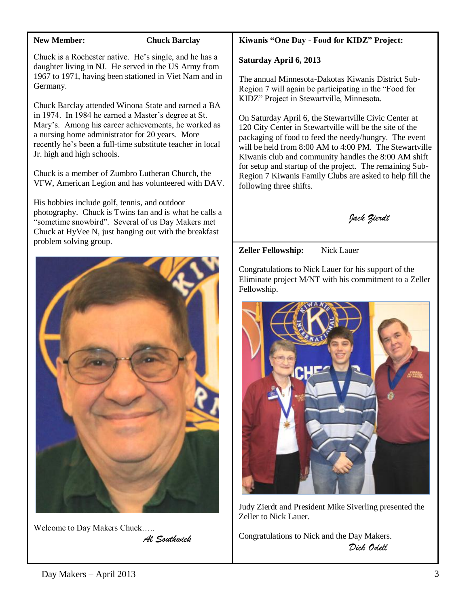#### **New Member: Chuck Barclay**

Chuck is a Rochester native. He's single, and he has a daughter living in NJ. He served in the US Army from 1967 to 1971, having been stationed in Viet Nam and in Germany.

Chuck Barclay attended Winona State and earned a BA in 1974. In 1984 he earned a Master's degree at St. Mary's. Among his career achievements, he worked as a nursing home administrator for 20 years. More recently he's been a full-time substitute teacher in local Jr. high and high schools.

Chuck is a member of Zumbro Lutheran Church, the VFW, American Legion and has volunteered with DAV.

His hobbies include golf, tennis, and outdoor photography. Chuck is Twins fan and is what he calls a "sometime snowbird". Several of us Day Makers met Chuck at HyVee N, just hanging out with the breakfast problem solving group.



Welcome to Day Makers Chuck….. *Al Southwick*

## **Kiwanis "One Day - Food for KIDZ" Project:**

#### **Saturday April 6, 2013**

The annual Minnesota-Dakotas Kiwanis District Sub-Region 7 will again be participating in the "Food for KIDZ" Project in Stewartville, Minnesota.

On Saturday April 6, the Stewartville Civic Center at 120 City Center in Stewartville will be the site of the packaging of food to feed the needy/hungry. The event will be held from 8:00 AM to 4:00 PM. The Stewartville Kiwanis club and community handles the 8:00 AM shift for setup and startup of the project. The remaining Sub-Region 7 Kiwanis Family Clubs are asked to help fill the following three shifts.



**Zeller Fellowship:** Nick Lauer

Congratulations to Nick Lauer for his support of the Eliminate project M/NT with his commitment to a Zeller Fellowship.



Judy Zierdt and President Mike Siverling presented the Zeller to Nick Lauer.

Congratulations to Nick and the Day Makers. *Dick Odell*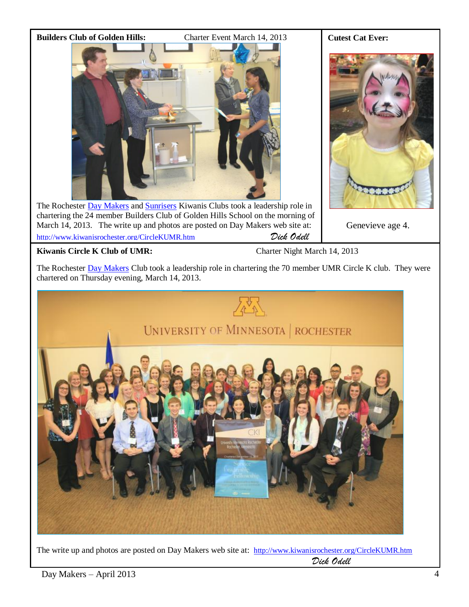

The Rochester [Day Makers](http://www.kiwanisrochester.org/) an[d Sunrisers](http://rochestersunriserskiwanis.org/public/index.aspx) Kiwanis Clubs took a leadership role in chartering the 24 member Builders Club of Golden Hills School on the morning of March 14, 2013. The write up and photos are posted on Day Makers web site at: <http://www.kiwanisrochester.org/CircleKUMR.htm> *Dick Odell*

**Cutest Cat Ever:**

Genevieve age 4.

## **Kiwanis Circle K Club of UMR:** Charter Night March 14, 2013

The Rochester [Day Makers](http://www.kiwanisrochester.org/) Club took a leadership role in chartering the 70 member UMR Circle K club. They were chartered on Thursday evening, March 14, 2013.



The write up and photos are posted on Day Makers web site at: <http://www.kiwanisrochester.org/CircleKUMR.htm> *Dick Odell*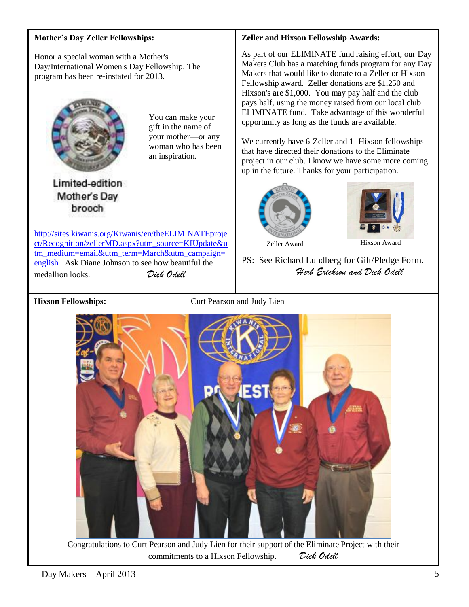#### **Mother's Day Zeller Fellowships:**

Honor a special woman with a Mother's Day/International Women's Day Fellowship. The program has been re-instated for 2013.



You can make your gift in the name of your mother—or any woman who has been an inspiration.

Limited-edition Mother's Day brooch

[http://sites.kiwanis.org/Kiwanis/en/theELIMINATEproje](http://sites.kiwanis.org/Kiwanis/en/theELIMINATEproject/Recognition/zellerMD.aspx?utm_source=KIUpdate&utm_medium=email&utm_term=March&utm_campaign=english) [ct/Recognition/zellerMD.aspx?utm\\_source=KIUpdate&u](http://sites.kiwanis.org/Kiwanis/en/theELIMINATEproject/Recognition/zellerMD.aspx?utm_source=KIUpdate&utm_medium=email&utm_term=March&utm_campaign=english) [tm\\_medium=email&utm\\_term=March&utm\\_campaign=](http://sites.kiwanis.org/Kiwanis/en/theELIMINATEproject/Recognition/zellerMD.aspx?utm_source=KIUpdate&utm_medium=email&utm_term=March&utm_campaign=english) [english](http://sites.kiwanis.org/Kiwanis/en/theELIMINATEproject/Recognition/zellerMD.aspx?utm_source=KIUpdate&utm_medium=email&utm_term=March&utm_campaign=english) Ask Diane Johnson to see how beautiful the medallion looks. *Dick Odell*

#### **Zeller and Hixson Fellowship Awards:**

As part of our ELIMINATE fund raising effort, our Day Makers Club has a matching funds program for any Day Makers that would like to donate to a Zeller or Hixson Fellowship award. Zeller donations are \$1,250 and Hixson's are \$1,000. You may pay half and the club pays half, using the money raised from our local club ELIMINATE fund. Take advantage of this wonderful opportunity as long as the funds are available.

We currently have 6-Zeller and 1- Hixson fellowships that have directed their donations to the Eliminate project in our club. I know we have some more coming up in the future. Thanks for your participation.





Zeller Award Hixson Award

PS: See Richard Lundberg for Gift/Pledge Form. *Herb Erickson and Dick Odell*

**Hixson Fellowships:** Curt Pearson and Judy Lien



Congratulations to Curt Pearson and Judy Lien for their support of the Eliminate Project with their commitments to a Hixson Fellowship. *Dick Odell*